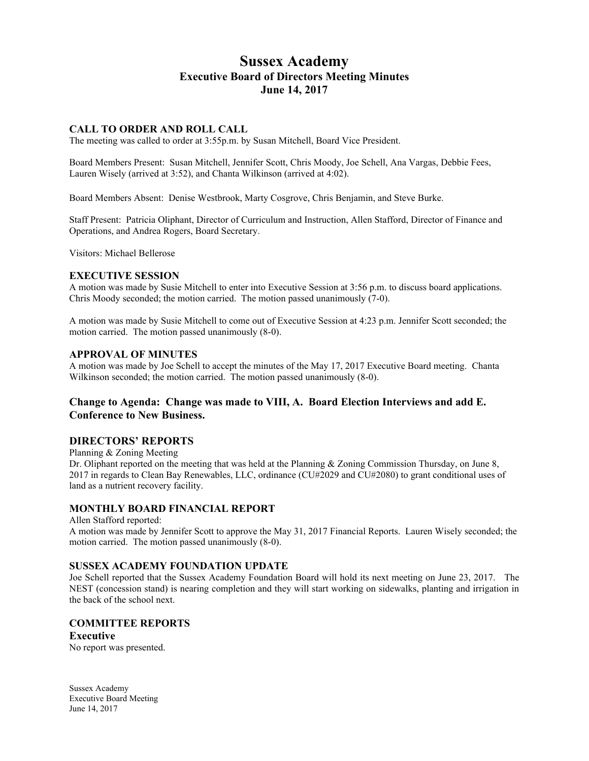# **Sussex Academy Executive Board of Directors Meeting Minutes June 14, 2017**

# **CALL TO ORDER AND ROLL CALL**

The meeting was called to order at 3:55p.m. by Susan Mitchell, Board Vice President.

Board Members Present: Susan Mitchell, Jennifer Scott, Chris Moody, Joe Schell, Ana Vargas, Debbie Fees, Lauren Wisely (arrived at 3:52), and Chanta Wilkinson (arrived at 4:02).

Board Members Absent: Denise Westbrook, Marty Cosgrove, Chris Benjamin, and Steve Burke.

Staff Present: Patricia Oliphant, Director of Curriculum and Instruction, Allen Stafford, Director of Finance and Operations, and Andrea Rogers, Board Secretary.

Visitors: Michael Bellerose

#### **EXECUTIVE SESSION**

A motion was made by Susie Mitchell to enter into Executive Session at 3:56 p.m. to discuss board applications. Chris Moody seconded; the motion carried. The motion passed unanimously (7-0).

A motion was made by Susie Mitchell to come out of Executive Session at 4:23 p.m. Jennifer Scott seconded; the motion carried. The motion passed unanimously (8-0).

# **APPROVAL OF MINUTES**

A motion was made by Joe Schell to accept the minutes of the May 17, 2017 Executive Board meeting. Chanta Wilkinson seconded; the motion carried. The motion passed unanimously  $(8-0)$ .

# **Change to Agenda: Change was made to VIII, A. Board Election Interviews and add E. Conference to New Business.**

# **DIRECTORS' REPORTS**

Planning & Zoning Meeting

Dr. Oliphant reported on the meeting that was held at the Planning & Zoning Commission Thursday, on June 8, 2017 in regards to Clean Bay Renewables, LLC, ordinance (CU#2029 and CU#2080) to grant conditional uses of land as a nutrient recovery facility.

# **MONTHLY BOARD FINANCIAL REPORT**

Allen Stafford reported:

A motion was made by Jennifer Scott to approve the May 31, 2017 Financial Reports. Lauren Wisely seconded; the motion carried. The motion passed unanimously (8-0).

### **SUSSEX ACADEMY FOUNDATION UPDATE**

Joe Schell reported that the Sussex Academy Foundation Board will hold its next meeting on June 23, 2017. The NEST (concession stand) is nearing completion and they will start working on sidewalks, planting and irrigation in the back of the school next.

# **COMMITTEE REPORTS**

# **Executive**

No report was presented.

Sussex Academy Executive Board Meeting June 14, 2017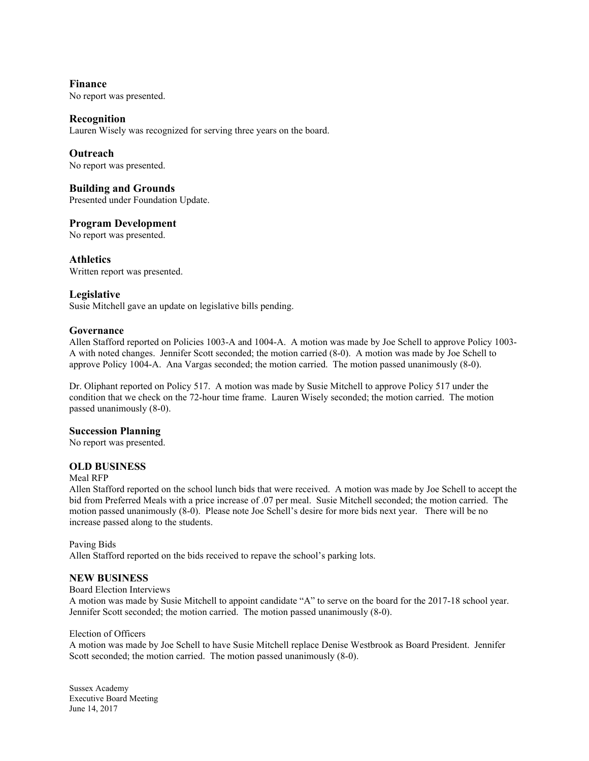**Finance** No report was presented.

# **Recognition**

Lauren Wisely was recognized for serving three years on the board.

# **Outreach**

No report was presented.

# **Building and Grounds**

Presented under Foundation Update.

# **Program Development**

No report was presented.

**Athletics** Written report was presented.

# **Legislative**

Susie Mitchell gave an update on legislative bills pending.

### **Governance**

Allen Stafford reported on Policies 1003-A and 1004-A. A motion was made by Joe Schell to approve Policy 1003- A with noted changes. Jennifer Scott seconded; the motion carried (8-0). A motion was made by Joe Schell to approve Policy 1004-A. Ana Vargas seconded; the motion carried. The motion passed unanimously (8-0).

Dr. Oliphant reported on Policy 517. A motion was made by Susie Mitchell to approve Policy 517 under the condition that we check on the 72-hour time frame. Lauren Wisely seconded; the motion carried. The motion passed unanimously (8-0).

### **Succession Planning**

No report was presented.

### **OLD BUSINESS**

#### Meal RFP

Allen Stafford reported on the school lunch bids that were received. A motion was made by Joe Schell to accept the bid from Preferred Meals with a price increase of .07 per meal. Susie Mitchell seconded; the motion carried. The motion passed unanimously (8-0). Please note Joe Schell's desire for more bids next year. There will be no increase passed along to the students.

Paving Bids

Allen Stafford reported on the bids received to repave the school's parking lots.

### **NEW BUSINESS**

Board Election Interviews

A motion was made by Susie Mitchell to appoint candidate "A" to serve on the board for the 2017-18 school year. Jennifer Scott seconded; the motion carried. The motion passed unanimously (8-0).

#### Election of Officers

A motion was made by Joe Schell to have Susie Mitchell replace Denise Westbrook as Board President. Jennifer Scott seconded; the motion carried. The motion passed unanimously  $(8-0)$ .

Sussex Academy Executive Board Meeting June 14, 2017